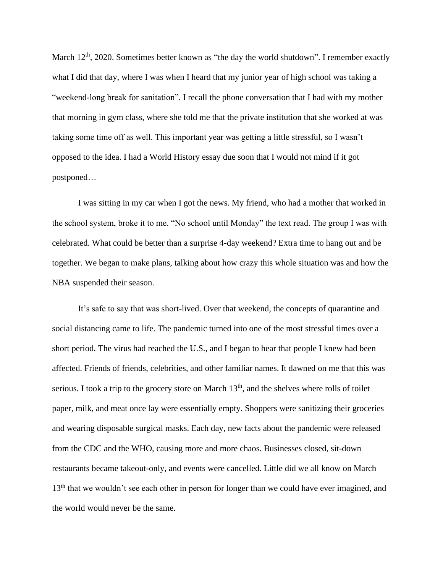March  $12<sup>th</sup>$ , 2020. Sometimes better known as "the day the world shutdown". I remember exactly what I did that day, where I was when I heard that my junior year of high school was taking a "weekend-long break for sanitation". I recall the phone conversation that I had with my mother that morning in gym class, where she told me that the private institution that she worked at was taking some time off as well. This important year was getting a little stressful, so I wasn't opposed to the idea. I had a World History essay due soon that I would not mind if it got postponed…

I was sitting in my car when I got the news. My friend, who had a mother that worked in the school system, broke it to me. "No school until Monday" the text read. The group I was with celebrated. What could be better than a surprise 4-day weekend? Extra time to hang out and be together. We began to make plans, talking about how crazy this whole situation was and how the NBA suspended their season.

It's safe to say that was short-lived. Over that weekend, the concepts of quarantine and social distancing came to life. The pandemic turned into one of the most stressful times over a short period. The virus had reached the U.S., and I began to hear that people I knew had been affected. Friends of friends, celebrities, and other familiar names. It dawned on me that this was serious. I took a trip to the grocery store on March 13<sup>th</sup>, and the shelves where rolls of toilet paper, milk, and meat once lay were essentially empty. Shoppers were sanitizing their groceries and wearing disposable surgical masks. Each day, new facts about the pandemic were released from the CDC and the WHO, causing more and more chaos. Businesses closed, sit-down restaurants became takeout-only, and events were cancelled. Little did we all know on March 13<sup>th</sup> that we wouldn't see each other in person for longer than we could have ever imagined, and the world would never be the same.